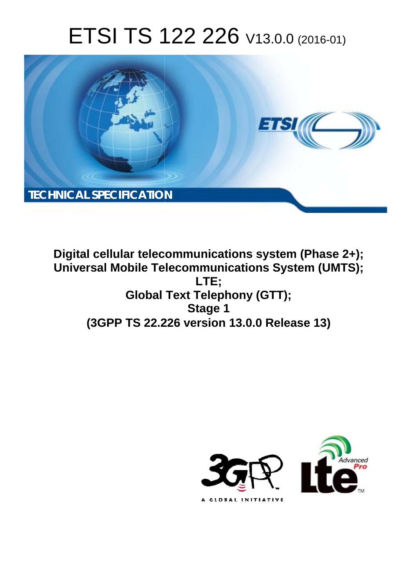# ETSI TS 122 226 V13.0.0 (2016-01)



**Digital cellular telecommunications system (Phase 2+); Universal Mobile Tel elecommunications System ( (UMTS);** Global Text Telephony (GTT); **(3GPP TS 22.2 .226 version 13.0.0 Release 13 13) LTE; Stage 1** 

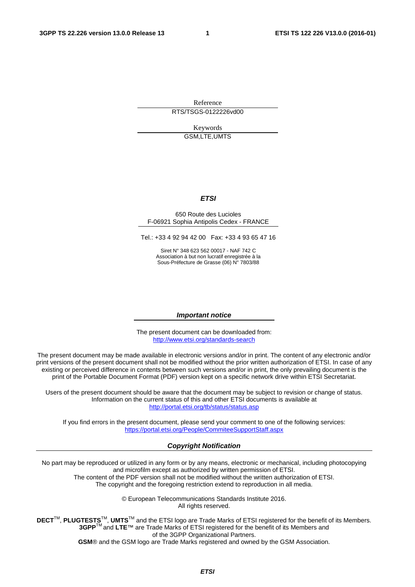Reference RTS/TSGS-0122226vd00

> Keywords GSM,LTE,UMTS

#### *ETSI*

#### 650 Route des Lucioles F-06921 Sophia Antipolis Cedex - FRANCE

Tel.: +33 4 92 94 42 00 Fax: +33 4 93 65 47 16

Siret N° 348 623 562 00017 - NAF 742 C Association à but non lucratif enregistrée à la Sous-Préfecture de Grasse (06) N° 7803/88

#### *Important notice*

The present document can be downloaded from: <http://www.etsi.org/standards-search>

The present document may be made available in electronic versions and/or in print. The content of any electronic and/or print versions of the present document shall not be modified without the prior written authorization of ETSI. In case of any existing or perceived difference in contents between such versions and/or in print, the only prevailing document is the print of the Portable Document Format (PDF) version kept on a specific network drive within ETSI Secretariat.

Users of the present document should be aware that the document may be subject to revision or change of status. Information on the current status of this and other ETSI documents is available at <http://portal.etsi.org/tb/status/status.asp>

If you find errors in the present document, please send your comment to one of the following services: <https://portal.etsi.org/People/CommiteeSupportStaff.aspx>

#### *Copyright Notification*

No part may be reproduced or utilized in any form or by any means, electronic or mechanical, including photocopying and microfilm except as authorized by written permission of ETSI.

The content of the PDF version shall not be modified without the written authorization of ETSI. The copyright and the foregoing restriction extend to reproduction in all media.

> © European Telecommunications Standards Institute 2016. All rights reserved.

**DECT**TM, **PLUGTESTS**TM, **UMTS**TM and the ETSI logo are Trade Marks of ETSI registered for the benefit of its Members. **3GPP**TM and **LTE**™ are Trade Marks of ETSI registered for the benefit of its Members and of the 3GPP Organizational Partners.

**GSM**® and the GSM logo are Trade Marks registered and owned by the GSM Association.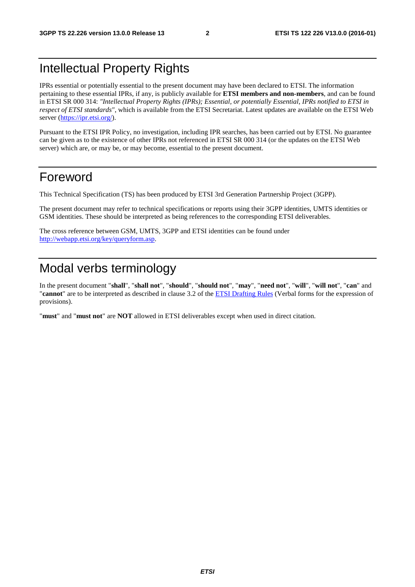# Intellectual Property Rights

IPRs essential or potentially essential to the present document may have been declared to ETSI. The information pertaining to these essential IPRs, if any, is publicly available for **ETSI members and non-members**, and can be found in ETSI SR 000 314: *"Intellectual Property Rights (IPRs); Essential, or potentially Essential, IPRs notified to ETSI in respect of ETSI standards"*, which is available from the ETSI Secretariat. Latest updates are available on the ETSI Web server [\(https://ipr.etsi.org/\)](https://ipr.etsi.org/).

Pursuant to the ETSI IPR Policy, no investigation, including IPR searches, has been carried out by ETSI. No guarantee can be given as to the existence of other IPRs not referenced in ETSI SR 000 314 (or the updates on the ETSI Web server) which are, or may be, or may become, essential to the present document.

# Foreword

This Technical Specification (TS) has been produced by ETSI 3rd Generation Partnership Project (3GPP).

The present document may refer to technical specifications or reports using their 3GPP identities, UMTS identities or GSM identities. These should be interpreted as being references to the corresponding ETSI deliverables.

The cross reference between GSM, UMTS, 3GPP and ETSI identities can be found under [http://webapp.etsi.org/key/queryform.asp.](http://webapp.etsi.org/key/queryform.asp)

# Modal verbs terminology

In the present document "**shall**", "**shall not**", "**should**", "**should not**", "**may**", "**need not**", "**will**", "**will not**", "**can**" and "**cannot**" are to be interpreted as described in clause 3.2 of the [ETSI Drafting Rules](http://portal.etsi.org/Help/editHelp!/Howtostart/ETSIDraftingRules.aspx) (Verbal forms for the expression of provisions).

"**must**" and "**must not**" are **NOT** allowed in ETSI deliverables except when used in direct citation.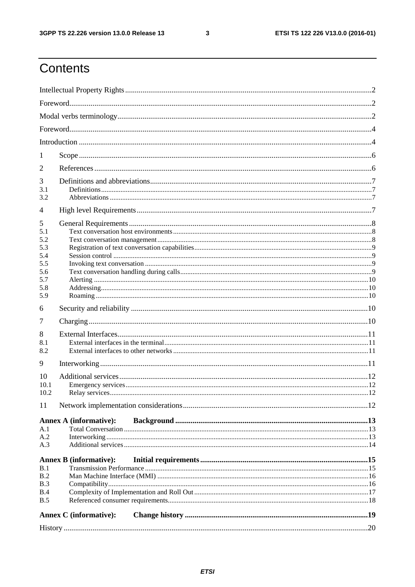$\mathbf{3}$ 

# Contents

| 1          |                               |  |  |  |  |  |  |
|------------|-------------------------------|--|--|--|--|--|--|
| 2          |                               |  |  |  |  |  |  |
| 3          |                               |  |  |  |  |  |  |
| 3.1<br>3.2 |                               |  |  |  |  |  |  |
| 4          |                               |  |  |  |  |  |  |
|            |                               |  |  |  |  |  |  |
| 5<br>5.1   |                               |  |  |  |  |  |  |
| 5.2        |                               |  |  |  |  |  |  |
| 5.3        |                               |  |  |  |  |  |  |
| 5.4        |                               |  |  |  |  |  |  |
| 5.5        |                               |  |  |  |  |  |  |
| 5.6        |                               |  |  |  |  |  |  |
| 5.7<br>5.8 |                               |  |  |  |  |  |  |
| 5.9        |                               |  |  |  |  |  |  |
| 6          |                               |  |  |  |  |  |  |
| 7          |                               |  |  |  |  |  |  |
| 8          |                               |  |  |  |  |  |  |
| 8.1        |                               |  |  |  |  |  |  |
| 8.2        |                               |  |  |  |  |  |  |
| 9          |                               |  |  |  |  |  |  |
| 10         |                               |  |  |  |  |  |  |
| 10.1       |                               |  |  |  |  |  |  |
| 10.2       |                               |  |  |  |  |  |  |
| 11         |                               |  |  |  |  |  |  |
|            | <b>Annex A (informative):</b> |  |  |  |  |  |  |
| A.1        |                               |  |  |  |  |  |  |
| A.2        |                               |  |  |  |  |  |  |
| A.3        |                               |  |  |  |  |  |  |
|            | <b>Annex B</b> (informative): |  |  |  |  |  |  |
| B.1        |                               |  |  |  |  |  |  |
| B.2        |                               |  |  |  |  |  |  |
| B.3        |                               |  |  |  |  |  |  |
| B.4        |                               |  |  |  |  |  |  |
| B.5        |                               |  |  |  |  |  |  |
|            | <b>Annex C</b> (informative): |  |  |  |  |  |  |
|            |                               |  |  |  |  |  |  |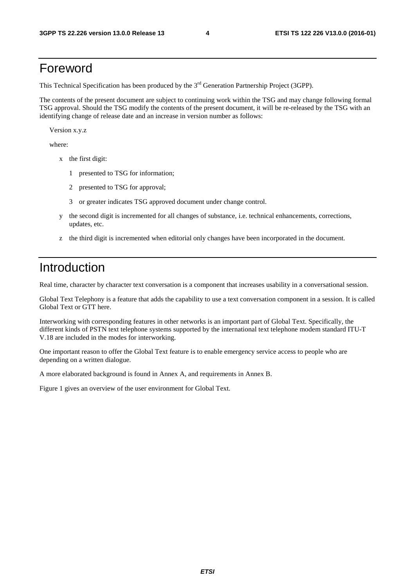# Foreword

This Technical Specification has been produced by the 3<sup>rd</sup> Generation Partnership Project (3GPP).

The contents of the present document are subject to continuing work within the TSG and may change following formal TSG approval. Should the TSG modify the contents of the present document, it will be re-released by the TSG with an identifying change of release date and an increase in version number as follows:

Version x.y.z

where:

- x the first digit:
	- 1 presented to TSG for information;
	- 2 presented to TSG for approval;
	- 3 or greater indicates TSG approved document under change control.
- y the second digit is incremented for all changes of substance, i.e. technical enhancements, corrections, updates, etc.
- z the third digit is incremented when editorial only changes have been incorporated in the document.

# Introduction

Real time, character by character text conversation is a component that increases usability in a conversational session.

Global Text Telephony is a feature that adds the capability to use a text conversation component in a session. It is called Global Text or GTT here.

Interworking with corresponding features in other networks is an important part of Global Text. Specifically, the different kinds of PSTN text telephone systems supported by the international text telephone modem standard ITU-T V.18 are included in the modes for interworking.

One important reason to offer the Global Text feature is to enable emergency service access to people who are depending on a written dialogue.

A more elaborated background is found in Annex A, and requirements in Annex B.

Figure 1 gives an overview of the user environment for Global Text.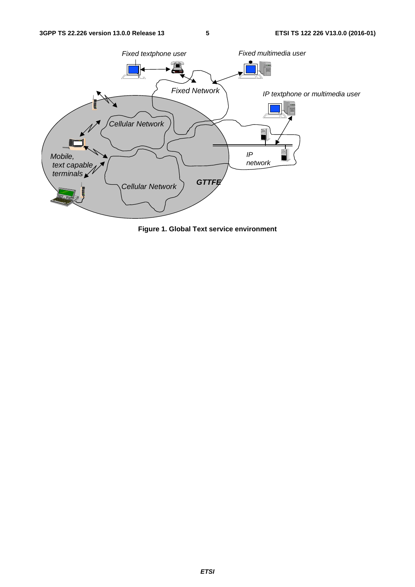

**Figure 1. Global Text service environment**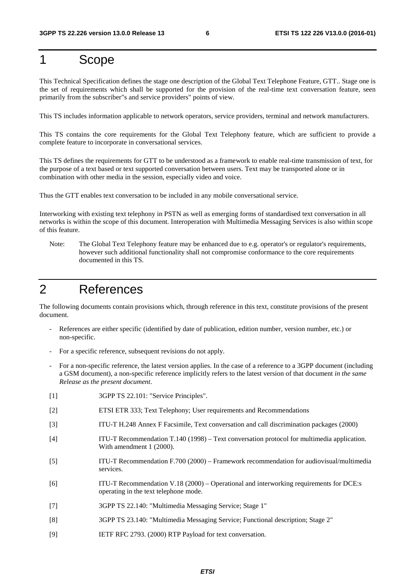# 1 Scope

This Technical Specification defines the stage one description of the Global Text Telephone Feature, GTT.. Stage one is the set of requirements which shall be supported for the provision of the real-time text conversation feature, seen primarily from the subscriber"s and service providers" points of view.

This TS includes information applicable to network operators, service providers, terminal and network manufacturers.

This TS contains the core requirements for the Global Text Telephony feature, which are sufficient to provide a complete feature to incorporate in conversational services.

This TS defines the requirements for GTT to be understood as a framework to enable real-time transmission of text, for the purpose of a text based or text supported conversation between users. Text may be transported alone or in combination with other media in the session, especially video and voice.

Thus the GTT enables text conversation to be included in any mobile conversational service.

Interworking with existing text telephony in PSTN as well as emerging forms of standardised text conversation in all networks is within the scope of this document. Interoperation with Multimedia Messaging Services is also within scope of this feature.

Note: The Global Text Telephony feature may be enhanced due to e.g. operator's or regulator's requirements, however such additional functionality shall not compromise conformance to the core requirements documented in this TS.

# 2 References

The following documents contain provisions which, through reference in this text, constitute provisions of the present document.

- References are either specific (identified by date of publication, edition number, version number, etc.) or non-specific.
- For a specific reference, subsequent revisions do not apply.
- For a non-specific reference, the latest version applies. In the case of a reference to a 3GPP document (including a GSM document), a non-specific reference implicitly refers to the latest version of that document *in the same Release as the present document*.
- [1] 3GPP TS 22.101: "Service Principles".
- [2] ETSI ETR 333; Text Telephony; User requirements and Recommendations
- [3] ITU-T H.248 Annex F Facsimile, Text conversation and call discrimination packages (2000)
- [4] ITU-T Recommendation T.140 (1998) Text conversation protocol for multimedia application. With amendment 1 (2000).
- [5] ITU-T Recommendation F.700 (2000) Framework recommendation for audiovisual/multimedia services.
- [6] ITU-T Recommendation V.18 (2000) Operational and interworking requirements for DCE:s operating in the text telephone mode.
- [7] 3GPP TS 22.140: "Multimedia Messaging Service; Stage 1"
- [8] 3GPP TS 23.140: "Multimedia Messaging Service; Functional description; Stage 2"
- [9] IETF RFC 2793. (2000) RTP Payload for text conversation.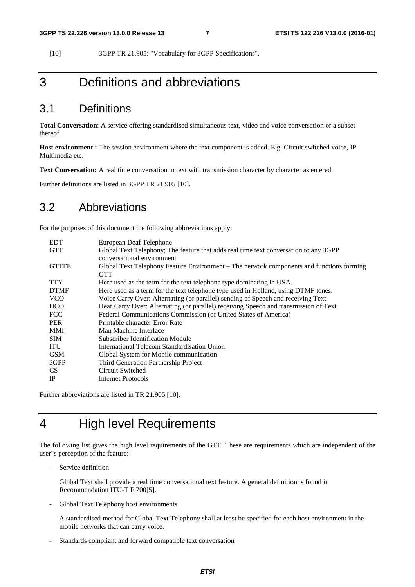[10] 3GPP TR 21.905: "Vocabulary for 3GPP Specifications".

# 3 Definitions and abbreviations

### 3.1 Definitions

**Total Conversation**: A service offering standardised simultaneous text, video and voice conversation or a subset thereof.

**Host environment :** The session environment where the text component is added. E.g. Circuit switched voice, IP Multimedia etc.

**Text Conversation:** A real time conversation in text with transmission character by character as entered.

Further definitions are listed in 3GPP TR 21.905 [10].

#### 3.2 Abbreviations

For the purposes of this document the following abbreviations apply:

| <b>EDT</b>   | European Deaf Telephone                                                                  |
|--------------|------------------------------------------------------------------------------------------|
| <b>GTT</b>   | Global Text Telephony; The feature that adds real time text conversation to any 3GPP     |
|              | conversational environment                                                               |
| <b>GTTFE</b> | Global Text Telephony Feature Environment – The network components and functions forming |
|              | <b>GTT</b>                                                                               |
| <b>TTY</b>   | Here used as the term for the text telephone type dominating in USA.                     |
| <b>DTMF</b>  | Here used as a term for the text telephone type used in Holland, using DTMF tones.       |
| <b>VCO</b>   | Voice Carry Over: Alternating (or parallel) sending of Speech and receiving Text         |
| <b>HCO</b>   | Hear Carry Over: Alternating (or parallel) receiving Speech and transmission of Text     |
| <b>FCC</b>   | Federal Communications Commission (of United States of America)                          |
| <b>PER</b>   | Printable character Error Rate                                                           |
| <b>MMI</b>   | Man Machine Interface                                                                    |
| <b>SIM</b>   | Subscriber Identification Module                                                         |
| <b>ITU</b>   | International Telecom Standardisation Union                                              |
| <b>GSM</b>   | Global System for Mobile communication                                                   |
| 3GPP         | Third Generation Partnership Project                                                     |
| CS.          | Circuit Switched                                                                         |
| IP           | <b>Internet Protocols</b>                                                                |

Further abbreviations are listed in TR 21.905 [10].

# 4 High level Requirements

The following list gives the high level requirements of the GTT. These are requirements which are independent of the user"s perception of the feature:-

Service definition

 Global Text shall provide a real time conversational text feature. A general definition is found in Recommendation ITU-T F.700[5].

- Global Text Telephony host environments

 A standardised method for Global Text Telephony shall at least be specified for each host environment in the mobile networks that can carry voice.

Standards compliant and forward compatible text conversation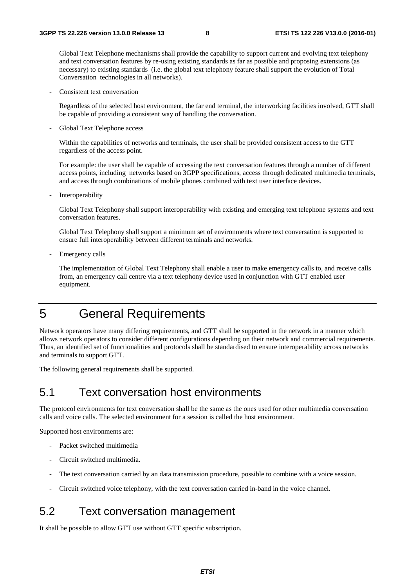Global Text Telephone mechanisms shall provide the capability to support current and evolving text telephony and text conversation features by re-using existing standards as far as possible and proposing extensions (as necessary) to existing standards (i.e. the global text telephony feature shall support the evolution of Total Conversation technologies in all networks).

Consistent text conversation

 Regardless of the selected host environment, the far end terminal, the interworking facilities involved, GTT shall be capable of providing a consistent way of handling the conversation.

Global Text Telephone access

 Within the capabilities of networks and terminals, the user shall be provided consistent access to the GTT regardless of the access point.

 For example: the user shall be capable of accessing the text conversation features through a number of different access points, including networks based on 3GPP specifications, access through dedicated multimedia terminals, and access through combinations of mobile phones combined with text user interface devices.

Interoperability

 Global Text Telephony shall support interoperability with existing and emerging text telephone systems and text conversation features.

 Global Text Telephony shall support a minimum set of environments where text conversation is supported to ensure full interoperability between different terminals and networks.

Emergency calls

 The implementation of Global Text Telephony shall enable a user to make emergency calls to, and receive calls from, an emergency call centre via a text telephony device used in conjunction with GTT enabled user equipment.

# 5 General Requirements

Network operators have many differing requirements, and GTT shall be supported in the network in a manner which allows network operators to consider different configurations depending on their network and commercial requirements. Thus, an identified set of functionalities and protocols shall be standardised to ensure interoperability across networks and terminals to support GTT.

The following general requirements shall be supported.

#### 5.1 Text conversation host environments

The protocol environments for text conversation shall be the same as the ones used for other multimedia conversation calls and voice calls. The selected environment for a session is called the host environment.

Supported host environments are:

- Packet switched multimedia
- Circuit switched multimedia.
- The text conversation carried by an data transmission procedure, possible to combine with a voice session.
- Circuit switched voice telephony, with the text conversation carried in-band in the voice channel.

#### 5.2 Text conversation management

It shall be possible to allow GTT use without GTT specific subscription.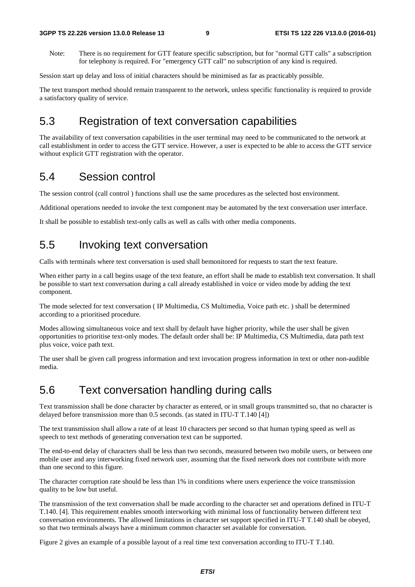Note: There is no requirement for GTT feature specific subscription, but for "normal GTT calls" a subscription for telephony is required. For "emergency GTT call" no subscription of any kind is required.

Session start up delay and loss of initial characters should be minimised as far as practicably possible.

The text transport method should remain transparent to the network, unless specific functionality is required to provide a satisfactory quality of service.

### 5.3 Registration of text conversation capabilities

The availability of text conversation capabilities in the user terminal may need to be communicated to the network at call establishment in order to access the GTT service. However, a user is expected to be able to access the GTT service without explicit GTT registration with the operator.

#### 5.4 Session control

The session control (call control ) functions shall use the same procedures as the selected host environment.

Additional operations needed to invoke the text component may be automated by the text conversation user interface.

It shall be possible to establish text-only calls as well as calls with other media components.

### 5.5 Invoking text conversation

Calls with terminals where text conversation is used shall bemonitored for requests to start the text feature.

When either party in a call begins usage of the text feature, an effort shall be made to establish text conversation. It shall be possible to start text conversation during a call already established in voice or video mode by adding the text component.

The mode selected for text conversation ( IP Multimedia, CS Multimedia, Voice path etc. ) shall be determined according to a prioritised procedure.

Modes allowing simultaneous voice and text shall by default have higher priority, while the user shall be given opportunities to prioritise text-only modes. The default order shall be: IP Multimedia, CS Multimedia, data path text plus voice, voice path text.

The user shall be given call progress information and text invocation progress information in text or other non-audible media.

#### 5.6 Text conversation handling during calls

Text transmission shall be done character by character as entered, or in small groups transmitted so, that no character is delayed before transmission more than 0.5 seconds. (as stated in ITU-T T.140 [4])

The text transmission shall allow a rate of at least 10 characters per second so that human typing speed as well as speech to text methods of generating conversation text can be supported.

The end-to-end delay of characters shall be less than two seconds, measured between two mobile users, or between one mobile user and any interworking fixed network user, assuming that the fixed network does not contribute with more than one second to this figure.

The character corruption rate should be less than 1% in conditions where users experience the voice transmission quality to be low but useful.

The transmission of the text conversation shall be made according to the character set and operations defined in ITU-T T.140. [4]. This requirement enables smooth interworking with minimal loss of functionality between different text conversation environments. The allowed limitations in character set support specified in ITU-T T.140 shall be obeyed, so that two terminals always have a minimum common character set available for conversation.

Figure 2 gives an example of a possible layout of a real time text conversation according to ITU-T T.140.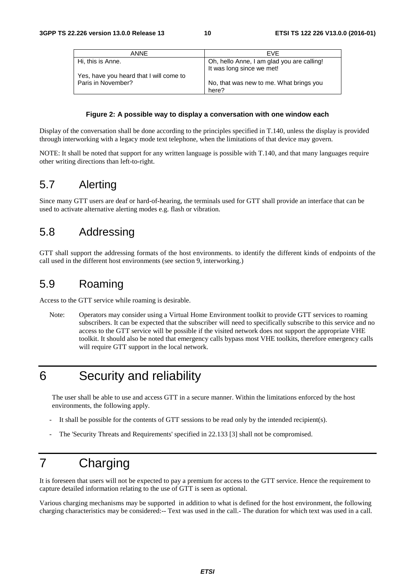| ANNE                                                          | <b>FVF</b>                                                              |
|---------------------------------------------------------------|-------------------------------------------------------------------------|
| Hi, this is Anne.                                             | Oh, hello Anne, I am glad you are calling!<br>It was long since we met! |
| Yes, have you heard that I will come to<br>Paris in November? | No, that was new to me. What brings you<br>here?                        |

#### **Figure 2: A possible way to display a conversation with one window each**

Display of the conversation shall be done according to the principles specified in T.140, unless the display is provided through interworking with a legacy mode text telephone, when the limitations of that device may govern.

NOTE: It shall be noted that support for any written language is possible with T.140, and that many languages require other writing directions than left-to-right.

### 5.7 Alerting

Since many GTT users are deaf or hard-of-hearing, the terminals used for GTT shall provide an interface that can be used to activate alternative alerting modes e.g. flash or vibration.

#### 5.8 Addressing

GTT shall support the addressing formats of the host environments. to identify the different kinds of endpoints of the call used in the different host environments (see section 9, interworking.)

### 5.9 Roaming

Access to the GTT service while roaming is desirable.

Note: Operators may consider using a Virtual Home Environment toolkit to provide GTT services to roaming subscribers. It can be expected that the subscriber will need to specifically subscribe to this service and no access to the GTT service will be possible if the visited network does not support the appropriate VHE toolkit. It should also be noted that emergency calls bypass most VHE toolkits, therefore emergency calls will require GTT support in the local network.

# 6 Security and reliability

The user shall be able to use and access GTT in a secure manner. Within the limitations enforced by the host environments, the following apply.

- It shall be possible for the contents of GTT sessions to be read only by the intended recipient(s).
- The 'Security Threats and Requirements' specified in 22.133 [3] shall not be compromised.

# 7 Charging

It is foreseen that users will not be expected to pay a premium for access to the GTT service. Hence the requirement to capture detailed information relating to the use of GTT is seen as optional.

Various charging mechanisms may be supported in addition to what is defined for the host environment, the following charging characteristics may be considered:-- Text was used in the call.- The duration for which text was used in a call.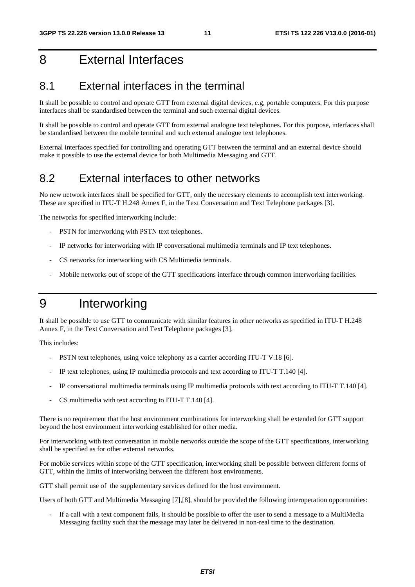# 8 External Interfaces

#### 8.1 External interfaces in the terminal

It shall be possible to control and operate GTT from external digital devices, e.g, portable computers. For this purpose interfaces shall be standardised between the terminal and such external digital devices.

It shall be possible to control and operate GTT from external analogue text telephones. For this purpose, interfaces shall be standardised between the mobile terminal and such external analogue text telephones.

External interfaces specified for controlling and operating GTT between the terminal and an external device should make it possible to use the external device for both Multimedia Messaging and GTT.

#### 8.2 External interfaces to other networks

No new network interfaces shall be specified for GTT, only the necessary elements to accomplish text interworking. These are specified in ITU-T H.248 Annex F, in the Text Conversation and Text Telephone packages [3].

The networks for specified interworking include:

- PSTN for interworking with PSTN text telephones.
- IP networks for interworking with IP conversational multimedia terminals and IP text telephones.
- CS networks for interworking with CS Multimedia terminals.
- Mobile networks out of scope of the GTT specifications interface through common interworking facilities.

# 9 Interworking

It shall be possible to use GTT to communicate with similar features in other networks as specified in ITU-T H.248 Annex F, in the Text Conversation and Text Telephone packages [3].

This includes:

- PSTN text telephones, using voice telephony as a carrier according ITU-T V.18 [6].
- IP text telephones, using IP multimedia protocols and text according to ITU-T T.140 [4].
- IP conversational multimedia terminals using IP multimedia protocols with text according to ITU-T T.140 [4].
- CS multimedia with text according to ITU-T T.140 [4].

There is no requirement that the host environment combinations for interworking shall be extended for GTT support beyond the host environment interworking established for other media.

For interworking with text conversation in mobile networks outside the scope of the GTT specifications, interworking shall be specified as for other external networks.

For mobile services within scope of the GTT specification, interworking shall be possible between different forms of GTT, within the limits of interworking between the different host environments.

GTT shall permit use of the supplementary services defined for the host environment.

Users of both GTT and Multimedia Messaging [7],[8], should be provided the following interoperation opportunities:

If a call with a text component fails, it should be possible to offer the user to send a message to a MultiMedia Messaging facility such that the message may later be delivered in non-real time to the destination.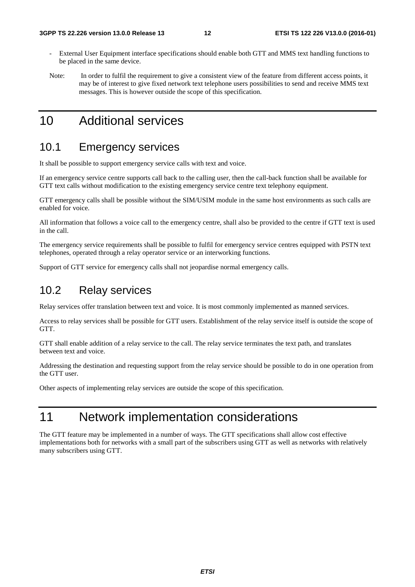- External User Equipment interface specifications should enable both GTT and MMS text handling functions to be placed in the same device.
- Note: In order to fulfil the requirement to give a consistent view of the feature from different access points, it may be of interest to give fixed network text telephone users possibilities to send and receive MMS text messages. This is however outside the scope of this specification.

# 10 Additional services

#### 10.1 Emergency services

It shall be possible to support emergency service calls with text and voice.

If an emergency service centre supports call back to the calling user, then the call-back function shall be available for GTT text calls without modification to the existing emergency service centre text telephony equipment.

GTT emergency calls shall be possible without the SIM/USIM module in the same host environments as such calls are enabled for voice.

All information that follows a voice call to the emergency centre, shall also be provided to the centre if GTT text is used in the call.

The emergency service requirements shall be possible to fulfil for emergency service centres equipped with PSTN text telephones, operated through a relay operator service or an interworking functions.

Support of GTT service for emergency calls shall not jeopardise normal emergency calls.

### 10.2 Relay services

Relay services offer translation between text and voice. It is most commonly implemented as manned services.

Access to relay services shall be possible for GTT users. Establishment of the relay service itself is outside the scope of GTT.

GTT shall enable addition of a relay service to the call. The relay service terminates the text path, and translates between text and voice.

Addressing the destination and requesting support from the relay service should be possible to do in one operation from the GTT user.

Other aspects of implementing relay services are outside the scope of this specification.

# 11 Network implementation considerations

The GTT feature may be implemented in a number of ways. The GTT specifications shall allow cost effective implementations both for networks with a small part of the subscribers using GTT as well as networks with relatively many subscribers using GTT.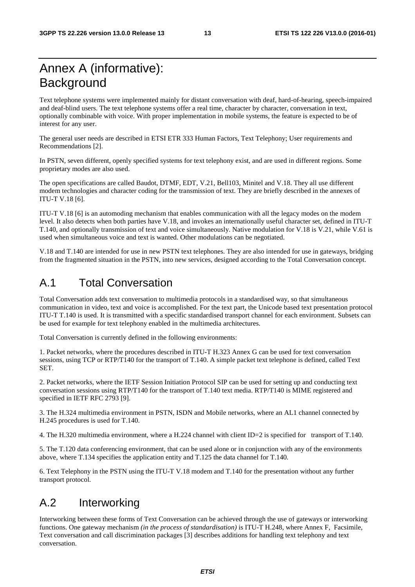# Annex A (informative): **Background**

Text telephone systems were implemented mainly for distant conversation with deaf, hard-of-hearing, speech-impaired and deaf-blind users. The text telephone systems offer a real time, character by character, conversation in text, optionally combinable with voice. With proper implementation in mobile systems, the feature is expected to be of interest for any user.

The general user needs are described in ETSI ETR 333 Human Factors, Text Telephony; User requirements and Recommendations [2].

In PSTN, seven different, openly specified systems for text telephony exist, and are used in different regions. Some proprietary modes are also used.

The open specifications are called Baudot, DTMF, EDT, V.21, Bell103, Minitel and V.18. They all use different modem technologies and character coding for the transmission of text. They are briefly described in the annexes of ITU-T V.18 [6].

ITU-T V.18 [6] is an automoding mechanism that enables communication with all the legacy modes on the modem level. It also detects when both parties have V.18, and invokes an internationally useful character set, defined in ITU-T T.140, and optionally transmission of text and voice simultaneously. Native modulation for V.18 is V.21, while V.61 is used when simultaneous voice and text is wanted. Other modulations can be negotiated.

V.18 and T.140 are intended for use in new PSTN text telephones. They are also intended for use in gateways, bridging from the fragmented situation in the PSTN, into new services, designed according to the Total Conversation concept.

### A.1 Total Conversation

Total Conversation adds text conversation to multimedia protocols in a standardised way, so that simultaneous communication in video, text and voice is accomplished. For the text part, the Unicode based text presentation protocol ITU-T T.140 is used. It is transmitted with a specific standardised transport channel for each environment. Subsets can be used for example for text telephony enabled in the multimedia architectures.

Total Conversation is currently defined in the following environments:

1. Packet networks, where the procedures described in ITU-T H.323 Annex G can be used for text conversation sessions, using TCP or RTP/T140 for the transport of T.140. A simple packet text telephone is defined, called Text **SET.** 

2. Packet networks, where the IETF Session Initiation Protocol SIP can be used for setting up and conducting text conversation sessions using RTP/T140 for the transport of T.140 text media. RTP/T140 is MIME registered and specified in IETF RFC 2793 [9].

3. The H.324 multimedia environment in PSTN, ISDN and Mobile networks, where an AL1 channel connected by H.245 procedures is used for T.140.

4. The H.320 multimedia environment, where a H.224 channel with client ID=2 is specified for transport of T.140.

5. The T.120 data conferencing environment, that can be used alone or in conjunction with any of the environments above, where T.134 specifies the application entity and T.125 the data channel for T.140.

6. Text Telephony in the PSTN using the ITU-T V.18 modem and T.140 for the presentation without any further transport protocol.

# A.2 Interworking

Interworking between these forms of Text Conversation can be achieved through the use of gateways or interworking functions. One gateway mechanism *(in the process of standardisation)* is ITU-T H.248, where Annex F, Facsimile, Text conversation and call discrimination packages [3] describes additions for handling text telephony and text conversation.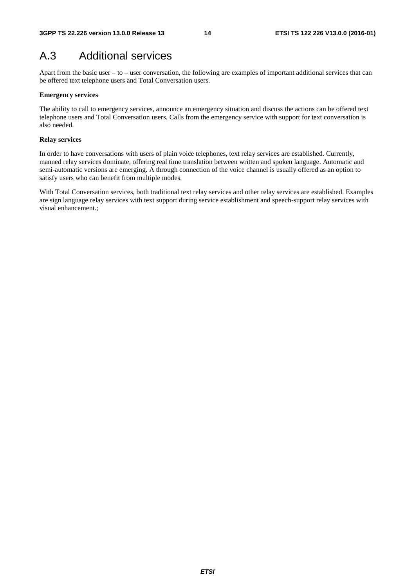# A.3 Additional services

Apart from the basic user – to – user conversation, the following are examples of important additional services that can be offered text telephone users and Total Conversation users.

#### **Emergency services**

The ability to call to emergency services, announce an emergency situation and discuss the actions can be offered text telephone users and Total Conversation users. Calls from the emergency service with support for text conversation is also needed.

#### **Relay services**

In order to have conversations with users of plain voice telephones, text relay services are established. Currently, manned relay services dominate, offering real time translation between written and spoken language. Automatic and semi-automatic versions are emerging. A through connection of the voice channel is usually offered as an option to satisfy users who can benefit from multiple modes.

With Total Conversation services, both traditional text relay services and other relay services are established. Examples are sign language relay services with text support during service establishment and speech-support relay services with visual enhancement.;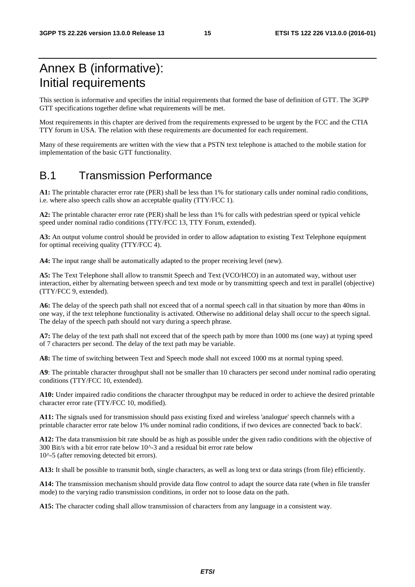# Annex B (informative): Initial requirements

This section is informative and specifies the initial requirements that formed the base of definition of GTT. The 3GPP GTT specifications together define what requirements will be met.

Most requirements in this chapter are derived from the requirements expressed to be urgent by the FCC and the CTIA TTY forum in USA. The relation with these requirements are documented for each requirement.

Many of these requirements are written with the view that a PSTN text telephone is attached to the mobile station for implementation of the basic GTT functionality.

#### B.1 Transmission Performance

**A1:** The printable character error rate (PER) shall be less than 1% for stationary calls under nominal radio conditions, i.e. where also speech calls show an acceptable quality (TTY/FCC 1).

**A2:** The printable character error rate (PER) shall be less than 1% for calls with pedestrian speed or typical vehicle speed under nominal radio conditions (TTY/FCC 13, TTY Forum, extended).

**A3:** An output volume control should be provided in order to allow adaptation to existing Text Telephone equipment for optimal receiving quality (TTY/FCC 4).

**A4:** The input range shall be automatically adapted to the proper receiving level (new).

**A5:** The Text Telephone shall allow to transmit Speech and Text (VCO/HCO) in an automated way, without user interaction, either by alternating between speech and text mode or by transmitting speech and text in parallel (objective) (TTY/FCC 9, extended).

**A6:** The delay of the speech path shall not exceed that of a normal speech call in that situation by more than 40ms in one way, if the text telephone functionality is activated. Otherwise no additional delay shall occur to the speech signal. The delay of the speech path should not vary during a speech phrase.

**A7:** The delay of the text path shall not exceed that of the speech path by more than 1000 ms (one way) at typing speed of 7 characters per second. The delay of the text path may be variable.

**A8:** The time of switching between Text and Speech mode shall not exceed 1000 ms at normal typing speed.

**A9**: The printable character throughput shall not be smaller than 10 characters per second under nominal radio operating conditions (TTY/FCC 10, extended).

**A10:** Under impaired radio conditions the character throughput may be reduced in order to achieve the desired printable character error rate (TTY/FCC 10, modified).

**A11:** The signals used for transmission should pass existing fixed and wireless 'analogue' speech channels with a printable character error rate below 1% under nominal radio conditions, if two devices are connected 'back to back'.

**A12:** The data transmission bit rate should be as high as possible under the given radio conditions with the objective of 300 Bit/s with a bit error rate below 10^-3 and a residual bit error rate below 10^-5 (after removing detected bit errors).

**A13:** It shall be possible to transmit both, single characters, as well as long text or data strings (from file) efficiently.

**A14:** The transmission mechanism should provide data flow control to adapt the source data rate (when in file transfer mode) to the varying radio transmission conditions, in order not to loose data on the path.

**A15:** The character coding shall allow transmission of characters from any language in a consistent way.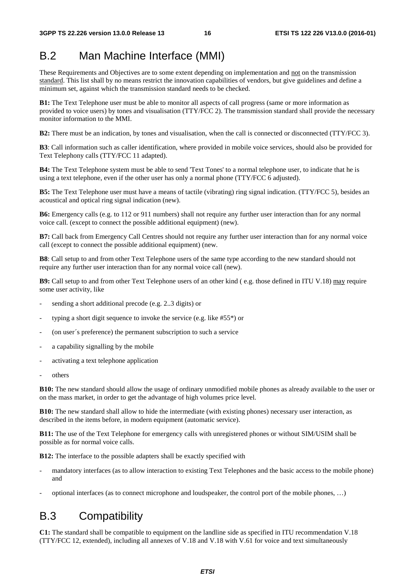# B.2 Man Machine Interface (MMI)

These Requirements and Objectives are to some extent depending on implementation and not on the transmission standard. This list shall by no means restrict the innovation capabilities of vendors, but give guidelines and define a minimum set, against which the transmission standard needs to be checked.

**B1:** The Text Telephone user must be able to monitor all aspects of call progress (same or more information as provided to voice users) by tones and visualisation (TTY/FCC 2). The transmission standard shall provide the necessary monitor information to the MMI.

**B2:** There must be an indication, by tones and visualisation, when the call is connected or disconnected (TTY/FCC 3).

**B3**: Call information such as caller identification, where provided in mobile voice services, should also be provided for Text Telephony calls (TTY/FCC 11 adapted).

**B4:** The Text Telephone system must be able to send 'Text Tones' to a normal telephone user, to indicate that he is using a text telephone, even if the other user has only a normal phone (TTY/FCC 6 adjusted).

**B5:** The Text Telephone user must have a means of tactile (vibrating) ring signal indication. (TTY/FCC 5), besides an acoustical and optical ring signal indication (new).

**B6:** Emergency calls (e.g. to 112 or 911 numbers) shall not require any further user interaction than for any normal voice call. (except to connect the possible additional equipment) (new).

**B7:** Call back from Emergency Call Centres should not require any further user interaction than for any normal voice call (except to connect the possible additional equipment) (new.

**B8**: Call setup to and from other Text Telephone users of the same type according to the new standard should not require any further user interaction than for any normal voice call (new).

**B9:** Call setup to and from other Text Telephone users of an other kind ( e.g. those defined in ITU V.18) may require some user activity, like

- sending a short additional precode (e.g. 2..3 digits) or
- typing a short digit sequence to invoke the service (e.g. like  $#55^*$ ) or
- (on user´s preference) the permanent subscription to such a service
- a capability signalling by the mobile
- activating a text telephone application
- others

**B10:** The new standard should allow the usage of ordinary unmodified mobile phones as already available to the user or on the mass market, in order to get the advantage of high volumes price level.

**B10:** The new standard shall allow to hide the intermediate (with existing phones) necessary user interaction, as described in the items before, in modern equipment (automatic service).

**B11:** The use of the Text Telephone for emergency calls with unregistered phones or without SIM/USIM shall be possible as for normal voice calls.

**B12:** The interface to the possible adapters shall be exactly specified with

- mandatory interfaces (as to allow interaction to existing Text Telephones and the basic access to the mobile phone) and
- optional interfaces (as to connect microphone and loudspeaker, the control port of the mobile phones, …)

#### B.3 Compatibility

**C1:** The standard shall be compatible to equipment on the landline side as specified in ITU recommendation V.18 (TTY/FCC 12, extended), including all annexes of V.18 and V.18 with V.61 for voice and text simultaneously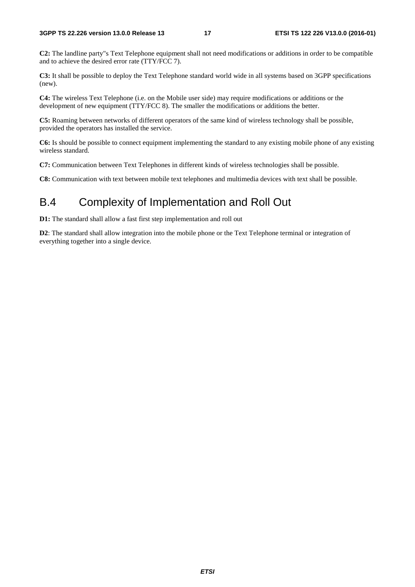**C2:** The landline party"s Text Telephone equipment shall not need modifications or additions in order to be compatible and to achieve the desired error rate (TTY/FCC 7).

**C3:** It shall be possible to deploy the Text Telephone standard world wide in all systems based on 3GPP specifications (new).

**C4:** The wireless Text Telephone (i.e. on the Mobile user side) may require modifications or additions or the development of new equipment (TTY/FCC 8). The smaller the modifications or additions the better.

**C5:** Roaming between networks of different operators of the same kind of wireless technology shall be possible, provided the operators has installed the service.

**C6:** Is should be possible to connect equipment implementing the standard to any existing mobile phone of any existing wireless standard.

**C7:** Communication between Text Telephones in different kinds of wireless technologies shall be possible.

**C8:** Communication with text between mobile text telephones and multimedia devices with text shall be possible.

### B.4 Complexity of Implementation and Roll Out

**D1:** The standard shall allow a fast first step implementation and roll out

**D2**: The standard shall allow integration into the mobile phone or the Text Telephone terminal or integration of everything together into a single device.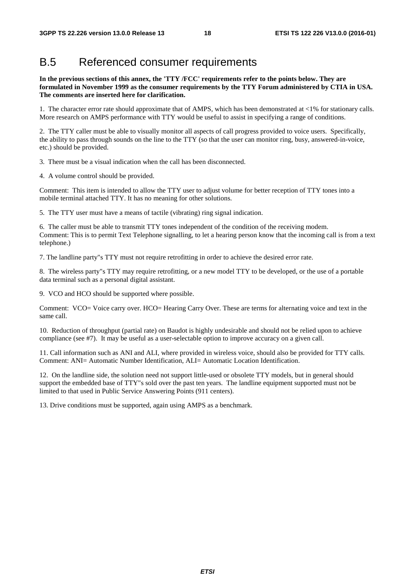#### B.5 Referenced consumer requirements

**In the previous sections of this annex, the 'TTY /FCC' requirements refer to the points below. They are formulated in November 1999 as the consumer requirements by the TTY Forum administered by CTIA in USA. The comments are inserted here for clarification.** 

1. The character error rate should approximate that of AMPS, which has been demonstrated at <1% for stationary calls. More research on AMPS performance with TTY would be useful to assist in specifying a range of conditions.

2. The TTY caller must be able to visually monitor all aspects of call progress provided to voice users. Specifically, the ability to pass through sounds on the line to the TTY (so that the user can monitor ring, busy, answered-in-voice, etc.) should be provided.

3. There must be a visual indication when the call has been disconnected.

4. A volume control should be provided.

Comment: This item is intended to allow the TTY user to adjust volume for better reception of TTY tones into a mobile terminal attached TTY. It has no meaning for other solutions.

5. The TTY user must have a means of tactile (vibrating) ring signal indication.

6. The caller must be able to transmit TTY tones independent of the condition of the receiving modem. Comment: This is to permit Text Telephone signalling, to let a hearing person know that the incoming call is from a text telephone.)

7. The landline party"s TTY must not require retrofitting in order to achieve the desired error rate.

8. The wireless party"s TTY may require retrofitting, or a new model TTY to be developed, or the use of a portable data terminal such as a personal digital assistant.

9. VCO and HCO should be supported where possible.

Comment: VCO= Voice carry over. HCO= Hearing Carry Over. These are terms for alternating voice and text in the same call.

10. Reduction of throughput (partial rate) on Baudot is highly undesirable and should not be relied upon to achieve compliance (see #7). It may be useful as a user-selectable option to improve accuracy on a given call.

11. Call information such as ANI and ALI, where provided in wireless voice, should also be provided for TTY calls. Comment: ANI= Automatic Number Identification, ALI= Automatic Location Identification.

12. On the landline side, the solution need not support little-used or obsolete TTY models, but in general should support the embedded base of TTY"s sold over the past ten years. The landline equipment supported must not be limited to that used in Public Service Answering Points (911 centers).

13. Drive conditions must be supported, again using AMPS as a benchmark.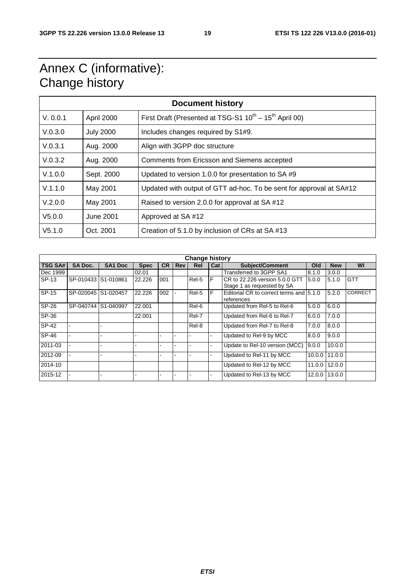# Annex C (informative): Change history

| <b>Document history</b> |                  |                                                                              |  |  |
|-------------------------|------------------|------------------------------------------------------------------------------|--|--|
| V. 0.0.1                | April 2000       | First Draft (Presented at TSG-S1 $10^{\text{th}} - 15^{\text{th}}$ April 00) |  |  |
| V.0.3.0                 | <b>July 2000</b> | Includes changes required by S1#9.                                           |  |  |
| V.0.3.1                 | Aug. 2000        | Align with 3GPP doc structure                                                |  |  |
| V.0.3.2                 | Aug. 2000        | Comments from Ericsson and Siemens accepted                                  |  |  |
| V.1.0.0                 | Sept. 2000       | Updated to version 1.0.0 for presentation to SA #9                           |  |  |
| V.1.1.0                 | May 2001         | Updated with output of GTT ad-hoc. To be sent for approval at SA#12          |  |  |
| V.2.0.0                 | May 2001         | Raised to version 2.0.0 for approval at SA #12                               |  |  |
| V5.0.0                  | June 2001        | Approved at SA#12                                                            |  |  |
| V5.1.0                  | Oct. 2001        | Creation of 5.1.0 by inclusion of CRs at SA #13                              |  |  |

| <b>Change history</b> |                     |                |             |           |            |       |     |                                                              |        |            |                |
|-----------------------|---------------------|----------------|-------------|-----------|------------|-------|-----|--------------------------------------------------------------|--------|------------|----------------|
| <b>TSG SA#</b>        | <b>SA Doc.</b>      | <b>SA1 Doc</b> | <b>Spec</b> | <b>CR</b> | <b>Rev</b> | Rel   | Cat | <b>Subject/Comment</b>                                       | Old    | <b>New</b> | WI             |
| Dec 1999              |                     |                | 02.01       |           |            |       |     | Transferred to 3GPP SA1                                      | 8.1.0  | 3.0.0      |                |
| SP-13                 | SP-010433 S1-010861 |                | 22.226      | 001       |            | Rel-5 | F   | CR to 22.226 version 5.0.0 GTT<br>Stage 1 as requested by SA | 5.0.0  | 5.1.0      | <b>GTT</b>     |
| SP-15                 | SP-020045           | S1-020457      | 22.226      | 002       |            | Rel-5 | F   | Editorial CR to correct terms and 5.1.0<br>references        |        | 5.2.0      | <b>CORRECT</b> |
| SP-26                 | SP-040744           | S1-040997      | 22.001      |           |            | Rel-6 |     | Updated from Rel-5 to Rel-6                                  | 5.0.0  | 6.0.0      |                |
| SP-36                 |                     |                | 22.001      |           |            | Rel-7 |     | Updated from Rel-6 to Rel-7                                  | 6.0.0  | 7.0.0      |                |
| SP-42                 |                     |                |             |           |            | Rel-8 |     | Updated from Rel-7 to Rel-8                                  | 7.0.0  | 8.0.0      |                |
| SP-46                 |                     |                |             |           |            |       |     | Updated to Rel-9 by MCC                                      | 8.0.0  | 9.0.0      |                |
| 2011-03               |                     |                |             |           |            |       |     | Update to Rel-10 version (MCC)                               | 9.0.0  | 10.0.0     |                |
| 2012-09               |                     |                |             |           |            |       |     | Updated to Rel-11 by MCC                                     | 10.0.0 | 11.0.0     |                |
| 2014-10               |                     |                |             |           |            |       |     | Updated to Rel-12 by MCC                                     | 11.0.0 | 12.0.0     |                |
| 2015-12               |                     |                |             |           |            |       |     | Updated to Rel-13 by MCC                                     | 12.0.0 | 13.0.0     |                |